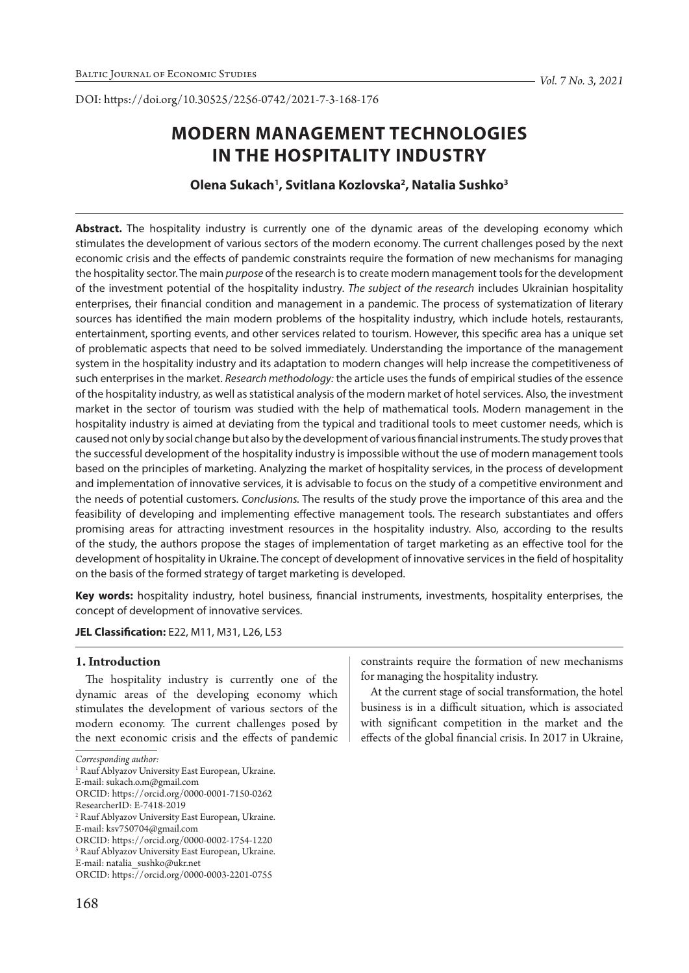DOI: https://doi.org/10.30525/2256-0742/2021-7-3-168-176

# **MODERN MANAGEMENT TECHNOLOGIES IN THE HOSPITALITY INDUSTRY**

# **Olena Sukach1 , Svitlana Kozlovska2 , Natalia Sushko3**

Abstract. The hospitality industry is currently one of the dynamic areas of the developing economy which stimulates the development of various sectors of the modern economy. The current challenges posed by the next economic crisis and the effects of pandemic constraints require the formation of new mechanisms for managing the hospitality sector. The main *purpose* of the research is to create modern management tools for the development of the investment potential of the hospitality industry. *The subject of the research* includes Ukrainian hospitality enterprises, their financial condition and management in a pandemic. The process of systematization of literary sources has identified the main modern problems of the hospitality industry, which include hotels, restaurants, entertainment, sporting events, and other services related to tourism. However, this specific area has a unique set of problematic aspects that need to be solved immediately. Understanding the importance of the management system in the hospitality industry and its adaptation to modern changes will help increase the competitiveness of such enterprises in the market. *Research methodology:* the article uses the funds of empirical studies of the essence of the hospitality industry, as well as statistical analysis of the modern market of hotel services. Also, the investment market in the sector of tourism was studied with the help of mathematical tools. Modern management in the hospitality industry is aimed at deviating from the typical and traditional tools to meet customer needs, which is caused not only by social change but also by the development of various financial instruments. The study proves that the successful development of the hospitality industry is impossible without the use of modern management tools based on the principles of marketing. Analyzing the market of hospitality services, in the process of development and implementation of innovative services, it is advisable to focus on the study of a competitive environment and the needs of potential customers. *Conclusions.* The results of the study prove the importance of this area and the feasibility of developing and implementing effective management tools. The research substantiates and offers promising areas for attracting investment resources in the hospitality industry. Also, according to the results of the study, the authors propose the stages of implementation of target marketing as an effective tool for the development of hospitality in Ukraine. The concept of development of innovative services in the field of hospitality on the basis of the formed strategy of target marketing is developed.

**Key words:** hospitality industry, hotel business, financial instruments, investments, hospitality enterprises, the concept of development of innovative services.

## **JEL Classification:** E22, M11, M31, L26, L53

## **1. Introduction**

The hospitality industry is currently one of the dynamic areas of the developing economy which stimulates the development of various sectors of the modern economy. The current challenges posed by the next economic crisis and the effects of pandemic constraints require the formation of new mechanisms for managing the hospitality industry.

At the current stage of social transformation, the hotel business is in a difficult situation, which is associated with significant competition in the market and the effects of the global financial crisis. In 2017 in Ukraine,

*Corresponding author:*

<sup>&</sup>lt;sup>1</sup> Rauf Ablyazov University East European, Ukraine.

E-mail: sukach.o.m@gmail.com

ORCID: https://orcid.org/0000-0001-7150-0262

ResearcherID: E-7418-2019

<sup>2</sup> Rauf Ablyazov University East European, Ukraine.

E-mail: ksv750704@gmail.com

ORCID: https://orcid.org/0000-0002-1754-1220

<sup>3</sup> Rauf Ablyazov University East European, Ukraine.

E-mail: natalia\_sushko@ukr.net

ORCID: https://orcid.org/0000-0003-2201-0755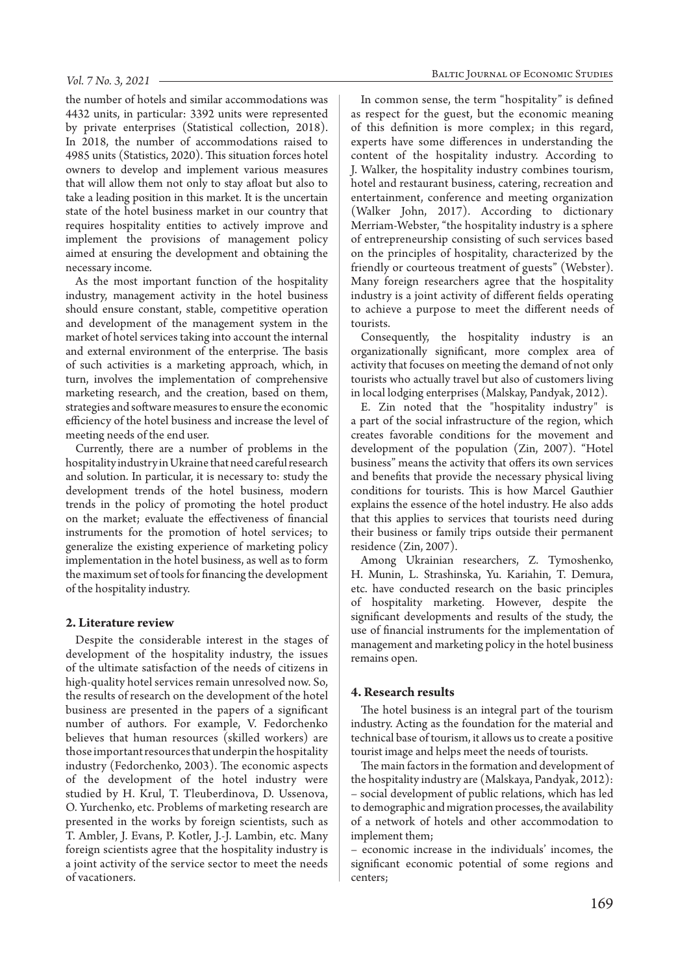the number of hotels and similar accommodations was 4432 units, in particular: 3392 units were represented by private enterprises (Statistical collection, 2018). In 2018, the number of accommodations raised to 4985 units (Statistics, 2020). This situation forces hotel owners to develop and implement various measures that will allow them not only to stay afloat but also to take a leading position in this market. It is the uncertain state of the hotel business market in our country that requires hospitality entities to actively improve and implement the provisions of management policy aimed at ensuring the development and obtaining the necessary income.

As the most important function of the hospitality industry, management activity in the hotel business should ensure constant, stable, competitive operation and development of the management system in the market of hotel services taking into account the internal and external environment of the enterprise. The basis of such activities is a marketing approach, which, in turn, involves the implementation of comprehensive marketing research, and the creation, based on them, strategies and software measures to ensure the economic efficiency of the hotel business and increase the level of meeting needs of the end user.

Currently, there are a number of problems in the hospitality industry in Ukraine that need careful research and solution. In particular, it is necessary to: study the development trends of the hotel business, modern trends in the policy of promoting the hotel product on the market; evaluate the effectiveness of financial instruments for the promotion of hotel services; to generalize the existing experience of marketing policy implementation in the hotel business, as well as to form the maximum set of tools for financing the development of the hospitality industry.

#### **2. Literature review**

Despite the considerable interest in the stages of development of the hospitality industry, the issues of the ultimate satisfaction of the needs of citizens in high-quality hotel services remain unresolved now. So, the results of research on the development of the hotel business are presented in the papers of a significant number of authors. For example, V. Fedorchenko believes that human resources (skilled workers) are those important resources that underpin the hospitality industry (Fedorchenko, 2003). The economic aspects of the development of the hotel industry were studied by H. Krul, T. Tleuberdinova, D. Ussenova, O. Yurchenko, etc. Problems of marketing research are presented in the works by foreign scientists, such as T. Ambler, J. Evans, P. Kotler, J.-J. Lambin, etc. Many foreign scientists agree that the hospitality industry is a joint activity of the service sector to meet the needs of vacationers.

In common sense, the term "hospitality" is defined as respect for the guest, but the economic meaning of this definition is more complex; in this regard, experts have some differences in understanding the content of the hospitality industry. According to J. Walker, the hospitality industry combines tourism, hotel and restaurant business, catering, recreation and entertainment, conference and meeting organization (Walker John, 2017). According to dictionary Merriam-Webster, "the hospitality industry is a sphere of entrepreneurship consisting of such services based on the principles of hospitality, characterized by the friendly or courteous treatment of guests" (Webster). Many foreign researchers agree that the hospitality industry is a joint activity of different fields operating to achieve a purpose to meet the different needs of tourists.

Consequently, the hospitality industry is an organizationally significant, more complex area of activity that focuses on meeting the demand of not only tourists who actually travel but also of customers living in local lodging enterprises (Malskay, Pandyak, 2012).

E. Zin noted that the "hospitality industry" is a part of the social infrastructure of the region, which creates favorable conditions for the movement and development of the population (Zin, 2007). "Hotel business" means the activity that offers its own services and benefits that provide the necessary physical living conditions for tourists. This is how Marcel Gauthier explains the essence of the hotel industry. He also adds that this applies to services that tourists need during their business or family trips outside their permanent residence (Zin, 2007).

Among Ukrainian researchers, Z. Tymoshenko, H. Munin, L. Strashinska, Yu. Kariahin, T. Demura, etc. have conducted research on the basic principles of hospitality marketing. However, despite the significant developments and results of the study, the use of financial instruments for the implementation of management and marketing policy in the hotel business remains open.

#### **4. Research results**

The hotel business is an integral part of the tourism industry. Acting as the foundation for the material and technical base of tourism, it allows us to create a positive tourist image and helps meet the needs of tourists.

The main factors in the formation and development of the hospitality industry are (Malskaya, Pandyak, 2012): – social development of public relations, which has led to demographic and migration processes, the availability of a network of hotels and other accommodation to implement them;

– economic increase in the individuals' incomes, the significant economic potential of some regions and centers;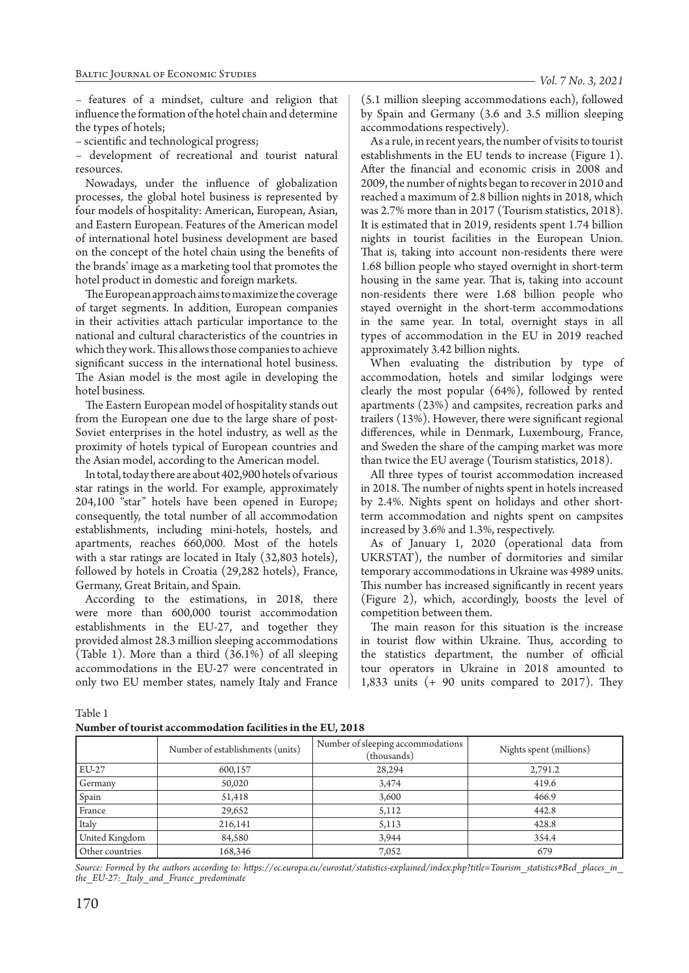– features of a mindset, culture and religion that influence the formation of the hotel chain and determine the types of hotels;

– scientific and technological progress;

– development of recreational and tourist natural resources.

Nowadays, under the influence of globalization processes, the global hotel business is represented by four models of hospitality: American, European, Asian, and Eastern European. Features of the American model of international hotel business development are based on the concept of the hotel chain using the benefits of the brands' image as a marketing tool that promotes the hotel product in domestic and foreign markets.

The European approach aims to maximize the coverage of target segments. In addition, European companies in their activities attach particular importance to the national and cultural characteristics of the countries in which they work. This allows those companies to achieve significant success in the international hotel business. The Asian model is the most agile in developing the hotel business.

The Eastern European model of hospitality stands out from the European one due to the large share of post-Soviet enterprises in the hotel industry, as well as the proximity of hotels typical of European countries and the Asian model, according to the American model.

In total, today there are about 402,900 hotels of various star ratings in the world. For example, approximately 204,100 "star" hotels have been opened in Europe; consequently, the total number of all accommodation establishments, including mini-hotels, hostels, and apartments, reaches 660,000. Most of the hotels with a star ratings are located in Italy (32,803 hotels), followed by hotels in Croatia (29,282 hotels), France, Germany, Great Britain, and Spain.

According to the estimations, in 2018, there were more than 600,000 tourist accommodation establishments in the EU-27, and together they provided almost 28.3 million sleeping accommodations (Table 1). More than a third (36.1%) of all sleeping accommodations in the EU-27 were concentrated in only two EU member states, namely Italy and France

(5.1 million sleeping accommodations each), followed by Spain and Germany (3.6 and 3.5 million sleeping accommodations respectively).

As a rule, in recent years, the number of visits to tourist establishments in the EU tends to increase (Figure 1). After the financial and economic crisis in 2008 and 2009, the number of nights began to recover in 2010 and reached a maximum of 2.8 billion nights in 2018, which was 2.7% more than in 2017 (Tourism statistics, 2018). It is estimated that in 2019, residents spent 1.74 billion nights in tourist facilities in the European Union. That is, taking into account non-residents there were 1.68 billion people who stayed overnight in short-term housing in the same year. That is, taking into account non-residents there were 1.68 billion people who stayed overnight in the short-term accommodations in the same year. In total, overnight stays in all types of accommodation in the EU in 2019 reached approximately 3.42 billion nights.

When evaluating the distribution by type of accommodation, hotels and similar lodgings were clearly the most popular (64%), followed by rented apartments (23%) and campsites, recreation parks and trailers (13%). However, there were significant regional differences, while in Denmark, Luxembourg, France, and Sweden the share of the camping market was more than twice the EU average (Tourism statistics, 2018).

All three types of tourist accommodation increased in 2018. The number of nights spent in hotels increased by 2.4%. Nights spent on holidays and other shortterm accommodation and nights spent on campsites increased by 3.6% and 1.3%, respectively.

As of January 1, 2020 (operational data from UKRSTAT), the number of dormitories and similar temporary accommodations in Ukraine was 4989 units. This number has increased significantly in recent years (Figure 2), which, accordingly, boosts the level of competition between them.

The main reason for this situation is the increase in tourist flow within Ukraine. Thus, according to the statistics department, the number of official tour operators in Ukraine in 2018 amounted to 1,833 units (+ 90 units compared to 2017). They

Table 1

| Number of tourist accommodation facilities in the EU, 2018 |
|------------------------------------------------------------|
|------------------------------------------------------------|

|                 | Number of establishments (units) | Number of sleeping accommodations<br>(thousands) | Nights spent (millions) |  |  |
|-----------------|----------------------------------|--------------------------------------------------|-------------------------|--|--|
| EU-27           | 600,157                          | 28,294                                           | 2,791.2                 |  |  |
| Germany         | 50,020                           | 3,474                                            | 419.6                   |  |  |
| Spain           | 51,418                           | 3,600                                            | 466.9                   |  |  |
| France          | 29,652                           | 5,112                                            | 442.8                   |  |  |
| Italy           | 216,141                          | 5,113                                            | 428.8                   |  |  |
| United Kingdom  | 84,580                           | 3,944                                            | 354.4                   |  |  |
| Other countries | 168,346                          | 7,052                                            | 679                     |  |  |

*Source: Formed by the authors according to: https://ec.europa.eu/eurostat/statistics-explained/index.php?title=Tourism\_statistics#Bed\_places\_in\_ the\_EU-27:\_Italy\_and\_France\_predominate*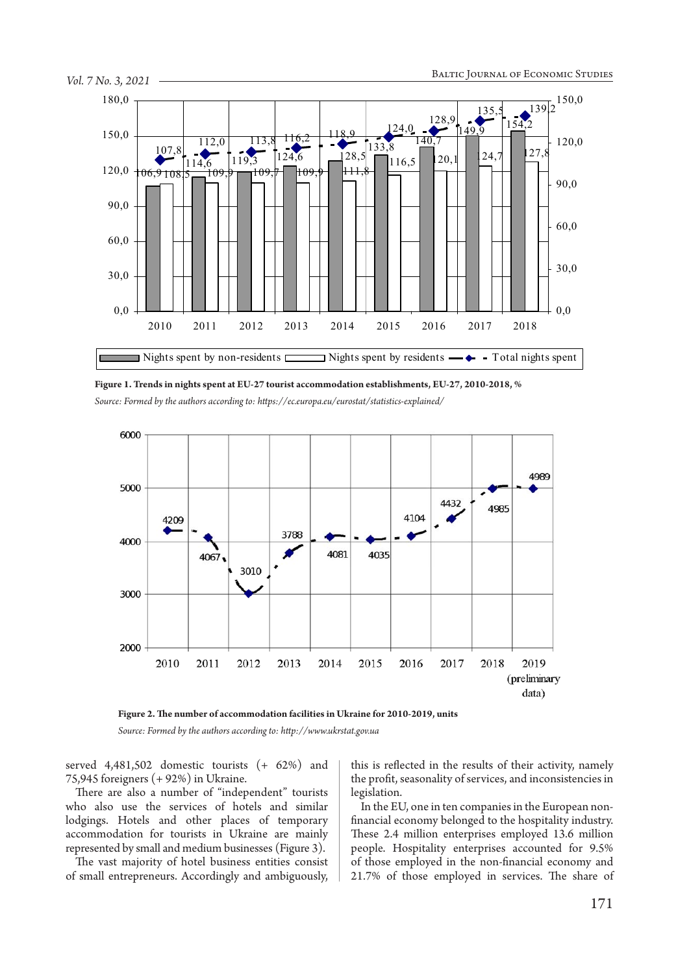

**Figure 1. Trends in nights spent at EU-27 tourist accommodation establishments, EU-27, 2010-2018, %** *Source: Formed by the authors according to: https://ec.europa.eu/eurostat/statistics-explained/*



**Figure 2. The number of accommodation facilities in Ukraine for 2010-2019, units** *Source: Formed by the authors according to: http://www.ukrstat.gov.ua*

served 4,481,502 domestic tourists (+ 62%) and 75,945 foreigners (+ 92%) in Ukraine.

There are also a number of "independent" tourists who also use the services of hotels and similar lodgings. Hotels and other places of temporary accommodation for tourists in Ukraine are mainly represented by small and medium businesses (Figure 3).

The vast majority of hotel business entities consist of small entrepreneurs. Accordingly and ambiguously,

this is reflected in the results of their activity, namely the profit, seasonality of services, and inconsistencies in legislation.

In the EU, one in ten companies in the European nonfinancial economy belonged to the hospitality industry. These 2.4 million enterprises employed 13.6 million people. Hospitality enterprises accounted for 9.5% of those employed in the non-financial economy and 21.7% of those employed in services. The share of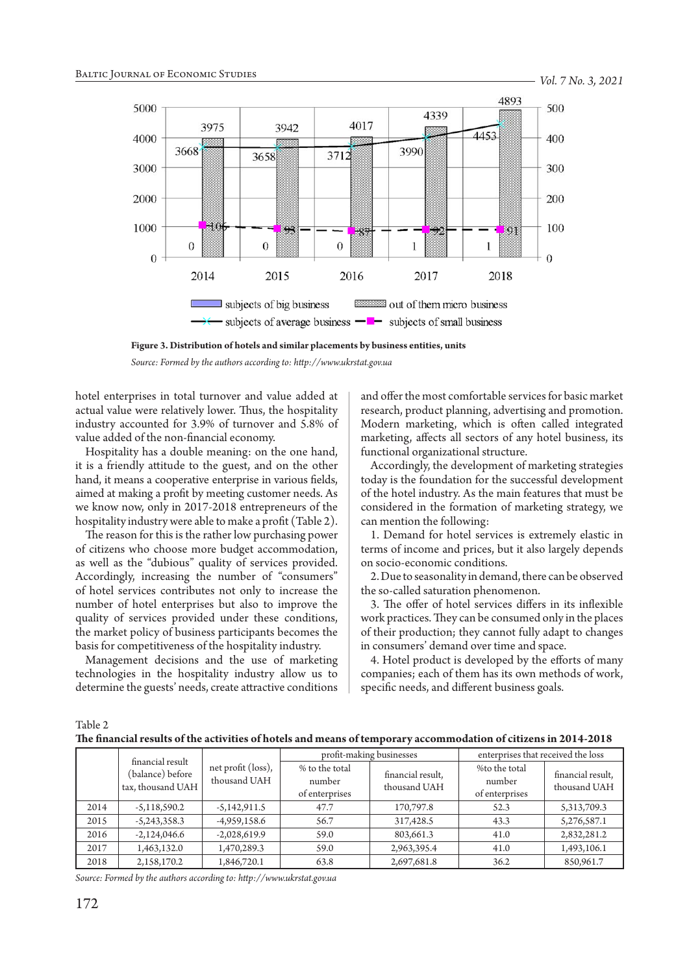

**Figure 3. Distribution of hotels and similar placements by business entities, units**

hotel enterprises in total turnover and value added at actual value were relatively lower. Thus, the hospitality industry accounted for 3.9% of turnover and 5.8% of value added of the non-financial economy.

Hospitality has a double meaning: on the one hand, it is a friendly attitude to the guest, and on the other hand, it means a cooperative enterprise in various fields, aimed at making a profit by meeting customer needs. As we know now, only in 2017-2018 entrepreneurs of the hospitality industry were able to make a profit (Table 2).

The reason for this is the rather low purchasing power of citizens who choose more budget accommodation, as well as the "dubious" quality of services provided. Accordingly, increasing the number of "consumers" of hotel services contributes not only to increase the number of hotel enterprises but also to improve the quality of services provided under these conditions, the market policy of business participants becomes the basis for competitiveness of the hospitality industry.

Management decisions and the use of marketing technologies in the hospitality industry allow us to determine the guests' needs, create attractive conditions and offer the most comfortable services for basic market research, product planning, advertising and promotion. Modern marketing, which is often called integrated marketing, affects all sectors of any hotel business, its functional organizational structure.

Accordingly, the development of marketing strategies today is the foundation for the successful development of the hotel industry. As the main features that must be considered in the formation of marketing strategy, we can mention the following:

1. Demand for hotel services is extremely elastic in terms of income and prices, but it also largely depends on socio-economic conditions.

2. Due to seasonality in demand, there can be observed the so-called saturation phenomenon.

3. The offer of hotel services differs in its inflexible work practices. They can be consumed only in the places of their production; they cannot fully adapt to changes in consumers' demand over time and space.

4. Hotel product is developed by the efforts of many companies; each of them has its own methods of work, specific needs, and different business goals.

Table 2

| financial result |                                       | profit-making businesses           |                                            | enterprises that received the loss |                                           |                                   |  |
|------------------|---------------------------------------|------------------------------------|--------------------------------------------|------------------------------------|-------------------------------------------|-----------------------------------|--|
|                  | (balance) before<br>tax, thousand UAH | net profit (loss),<br>thousand UAH | % to the total<br>number<br>of enterprises | financial result,<br>thousand UAH  | %to the total<br>number<br>of enterprises | financial result,<br>thousand UAH |  |
| 2014             | $-5,118,590.2$                        | $-5,142,911.5$                     | 47.7                                       | 170,797.8                          | 52.3                                      | 5,313,709.3                       |  |
| 2015             | $-5,243,358.3$                        | $-4,959,158.6$                     | 56.7                                       | 317,428.5                          | 43.3                                      | 5,276,587.1                       |  |
| 2016             | $-2,124,046.6$                        | $-2,028,619.9$                     | 59.0                                       | 803,661.3                          | 41.0                                      | 2,832,281.2                       |  |
| 2017             | 1,463,132.0                           | 1,470,289.3                        | 59.0                                       | 2,963,395.4                        | 41.0                                      | 1,493,106.1                       |  |
| 2018             | 2,158,170.2                           | 1,846,720.1                        | 63.8                                       | 2,697,681.8                        | 36.2                                      | 850,961.7                         |  |

*Source: Formed by the authors according to: http://www.ukrstat.gov.ua*

*Source: Formed by the authors according to: http://www.ukrstat.gov.ua*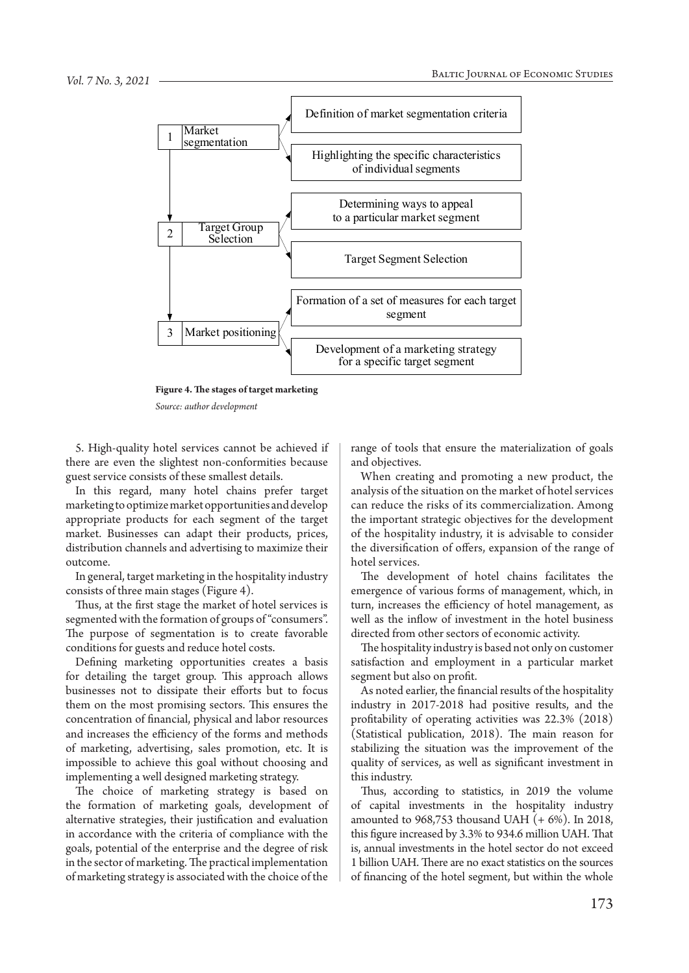

**Figure 4. The stages of target marketing**

*Source: author development*

5. High-quality hotel services cannot be achieved if there are even the slightest non-conformities because guest service consists of these smallest details.

In this regard, many hotel chains prefer target marketing to optimize market opportunities and develop appropriate products for each segment of the target market. Businesses can adapt their products, prices, distribution channels and advertising to maximize their outcome.

In general, target marketing in the hospitality industry consists of three main stages (Figure 4).

Thus, at the first stage the market of hotel services is segmented with the formation of groups of "consumers". The purpose of segmentation is to create favorable conditions for guests and reduce hotel costs.

Defining marketing opportunities creates a basis for detailing the target group. This approach allows businesses not to dissipate their efforts but to focus them on the most promising sectors. This ensures the concentration of financial, physical and labor resources and increases the efficiency of the forms and methods of marketing, advertising, sales promotion, etc. It is impossible to achieve this goal without choosing and implementing a well designed marketing strategy.

The choice of marketing strategy is based on the formation of marketing goals, development of alternative strategies, their justification and evaluation in accordance with the criteria of compliance with the goals, potential of the enterprise and the degree of risk in the sector of marketing. The practical implementation of marketing strategy is associated with the choice of the

range of tools that ensure the materialization of goals and objectives.

When creating and promoting a new product, the analysis of the situation on the market of hotel services can reduce the risks of its commercialization. Among the important strategic objectives for the development of the hospitality industry, it is advisable to consider the diversification of offers, expansion of the range of hotel services.

The development of hotel chains facilitates the emergence of various forms of management, which, in turn, increases the efficiency of hotel management, as well as the inflow of investment in the hotel business directed from other sectors of economic activity.

The hospitality industry is based not only on customer satisfaction and employment in a particular market segment but also on profit.

As noted earlier, the financial results of the hospitality industry in 2017-2018 had positive results, and the profitability of operating activities was 22.3% (2018) (Statistical publication, 2018). The main reason for stabilizing the situation was the improvement of the quality of services, as well as significant investment in this industry.

Thus, according to statistics, in 2019 the volume of capital investments in the hospitality industry amounted to  $968,753$  thousand UAH  $(+ 6\%)$ . In 2018, this figure increased by 3.3% to 934.6 million UAH. That is, annual investments in the hotel sector do not exceed 1 billion UAH. There are no exact statistics on the sources of financing of the hotel segment, but within the whole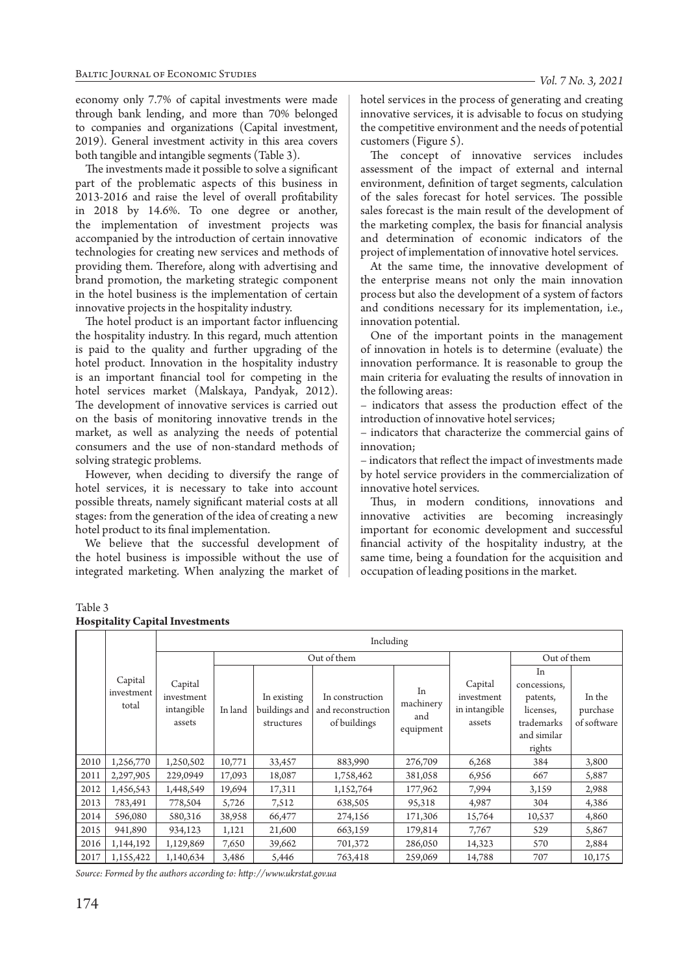economy only 7.7% of capital investments were made through bank lending, and more than 70% belonged to companies and organizations (Capital investment, 2019). General investment activity in this area covers both tangible and intangible segments (Table 3).

The investments made it possible to solve a significant part of the problematic aspects of this business in 2013-2016 and raise the level of overall profitability in 2018 by 14.6%. To one degree or another, the implementation of investment projects was accompanied by the introduction of certain innovative technologies for creating new services and methods of providing them. Therefore, along with advertising and brand promotion, the marketing strategic component in the hotel business is the implementation of certain innovative projects in the hospitality industry.

The hotel product is an important factor influencing the hospitality industry. In this regard, much attention is paid to the quality and further upgrading of the hotel product. Innovation in the hospitality industry is an important financial tool for competing in the hotel services market (Malskaya, Pandyak, 2012). The development of innovative services is carried out on the basis of monitoring innovative trends in the market, as well as analyzing the needs of potential consumers and the use of non-standard methods of solving strategic problems.

However, when deciding to diversify the range of hotel services, it is necessary to take into account possible threats, namely significant material costs at all stages: from the generation of the idea of creating a new hotel product to its final implementation.

We believe that the successful development of the hotel business is impossible without the use of integrated marketing. When analyzing the market of hotel services in the process of generating and creating innovative services, it is advisable to focus on studying the competitive environment and the needs of potential customers (Figure 5).

The concept of innovative services includes assessment of the impact of external and internal environment, definition of target segments, calculation of the sales forecast for hotel services. The possible sales forecast is the main result of the development of the marketing complex, the basis for financial analysis and determination of economic indicators of the project of implementation of innovative hotel services.

At the same time, the innovative development of the enterprise means not only the main innovation process but also the development of a system of factors and conditions necessary for its implementation, i.e., innovation potential.

One of the important points in the management of innovation in hotels is to determine (evaluate) the innovation performance. It is reasonable to group the main criteria for evaluating the results of innovation in the following areas:

– indicators that assess the production effect of the introduction of innovative hotel services;

– indicators that characterize the commercial gains of innovation;

– indicators that reflect the impact of investments made by hotel service providers in the commercialization of innovative hotel services.

Thus, in modern conditions, innovations and innovative activities are becoming increasingly important for economic development and successful financial activity of the hospitality industry, at the same time, being a foundation for the acquisition and occupation of leading positions in the market.

|      |                                | Including                                     |             |                                            |                                                       |                                     |                                                  |                                                                                    |                                   |
|------|--------------------------------|-----------------------------------------------|-------------|--------------------------------------------|-------------------------------------------------------|-------------------------------------|--------------------------------------------------|------------------------------------------------------------------------------------|-----------------------------------|
|      |                                |                                               | Out of them |                                            |                                                       |                                     |                                                  | Out of them                                                                        |                                   |
|      | Capital<br>investment<br>total | Capital<br>investment<br>intangible<br>assets | In land     | In existing<br>buildings and<br>structures | In construction<br>and reconstruction<br>of buildings | In<br>machinery<br>and<br>equipment | Capital<br>investment<br>in intangible<br>assets | In<br>concessions,<br>patents,<br>licenses,<br>trademarks<br>and similar<br>rights | In the<br>purchase<br>of software |
| 2010 | 1,256,770                      | 1,250,502                                     | 10,771      | 33,457                                     | 883,990                                               | 276,709                             | 6,268                                            | 384                                                                                | 3,800                             |
| 2011 | 2,297,905                      | 229,0949                                      | 17,093      | 18,087                                     | 1,758,462                                             | 381,058                             | 6,956                                            | 667                                                                                | 5,887                             |
| 2012 | 1,456,543                      | 1,448,549                                     | 19,694      | 17,311                                     | 1,152,764                                             | 177,962                             | 7,994                                            | 3,159                                                                              | 2,988                             |
| 2013 | 783,491                        | 778,504                                       | 5,726       | 7,512                                      | 638,505                                               | 95,318                              | 4,987                                            | 304                                                                                | 4,386                             |
| 2014 | 596,080                        | 580,316                                       | 38,958      | 66,477                                     | 274,156                                               | 171,306                             | 15,764                                           | 10,537                                                                             | 4,860                             |
| 2015 | 941,890                        | 934,123                                       | 1,121       | 21,600                                     | 663,159                                               | 179,814                             | 7,767                                            | 529                                                                                | 5,867                             |
| 2016 | 1,144,192                      | 1,129,869                                     | 7,650       | 39,662                                     | 701,372                                               | 286,050                             | 14,323                                           | 570                                                                                | 2,884                             |
| 2017 | 1,155,422                      | 1,140,634                                     | 3,486       | 5,446                                      | 763,418                                               | 259,069                             | 14,788                                           | 707                                                                                | 10,175                            |

# **Hospitality Capital Investments**

Table 3

*Source: Formed by the authors according to: http://www.ukrstat.gov.ua*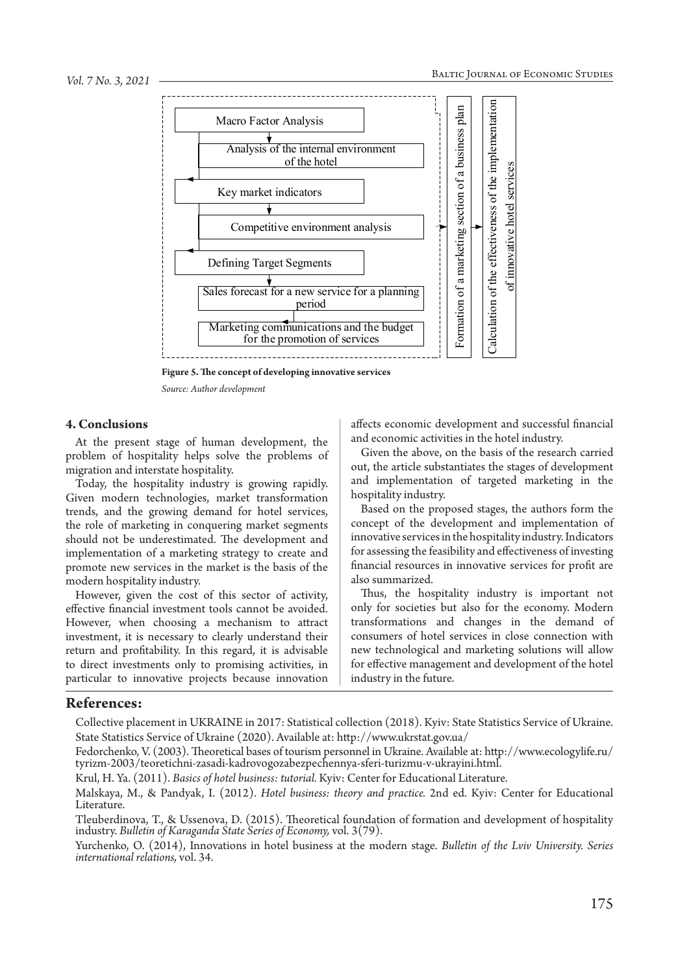

**Figure 5. The concept of developing innovative services**

*Source: Author development*

### **4. Conclusions**

At the present stage of human development, the problem of hospitality helps solve the problems of migration and interstate hospitality.

Today, the hospitality industry is growing rapidly. Given modern technologies, market transformation trends, and the growing demand for hotel services, the role of marketing in conquering market segments should not be underestimated. The development and implementation of a marketing strategy to create and promote new services in the market is the basis of the modern hospitality industry.

However, given the cost of this sector of activity, effective financial investment tools cannot be avoided. However, when choosing a mechanism to attract investment, it is necessary to clearly understand their return and profitability. In this regard, it is advisable to direct investments only to promising activities, in particular to innovative projects because innovation

affects economic development and successful financial and economic activities in the hotel industry.

Given the above, on the basis of the research carried out, the article substantiates the stages of development and implementation of targeted marketing in the hospitality industry.

Based on the proposed stages, the authors form the concept of the development and implementation of innovative services in the hospitality industry. Indicators for assessing the feasibility and effectiveness of investing financial resources in innovative services for profit are also summarized.

Thus, the hospitality industry is important not only for societies but also for the economy. Modern transformations and changes in the demand of consumers of hotel services in close connection with new technological and marketing solutions will allow for effective management and development of the hotel industry in the future.

#### **References:**

Collective placement in UKRAINE in 2017: Statistical collection (2018). Kyiv: State Statistics Service of Ukraine. State Statistics Service of Ukraine (2020). Available at: http://www.ukrstat.gov.ua/

Fedorchenko, V. (2003). Theoretical bases of tourism personnel in Ukraine. Available at: http://www.ecologylife.ru/ tyrizm-2003/teoretichni-zasadi-kadrovogozabezpechennya-sferi-turizmu-v-ukrayini.html.

Krul, H. Ya. (2011). *Basics of hotel business: tutorial.* Kyiv: Center for Educational Literature.

Malskaya, M., & Pandyak, I. (2012). *Hotel business: theory and practice.* 2nd ed. Kyiv: Center for Educational Literature.

Tleuberdinova, T., & Ussenova, D. (2015). Theoretical foundation of formation and development of hospitality industry. *Bulletin of Karaganda State Series of Economy,* vol. 3(79).

Yurchenko, O. (2014), Innovations in hotel business at the modern stage. *Bulletin of the Lviv University. Series international relations,* vol. 34.